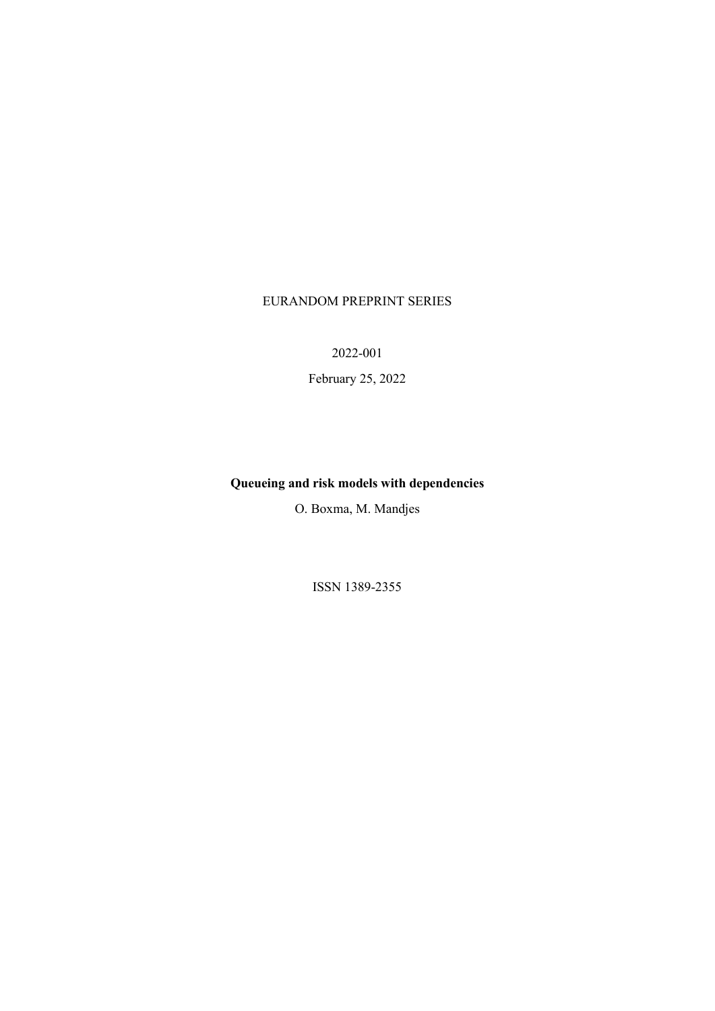### EURANDOM PREPRINT SERIES

2022-001

February 25, 2022

## **Queueing and risk models with dependencies**

O. Boxma, M. Mandjes

ISSN 1389-2355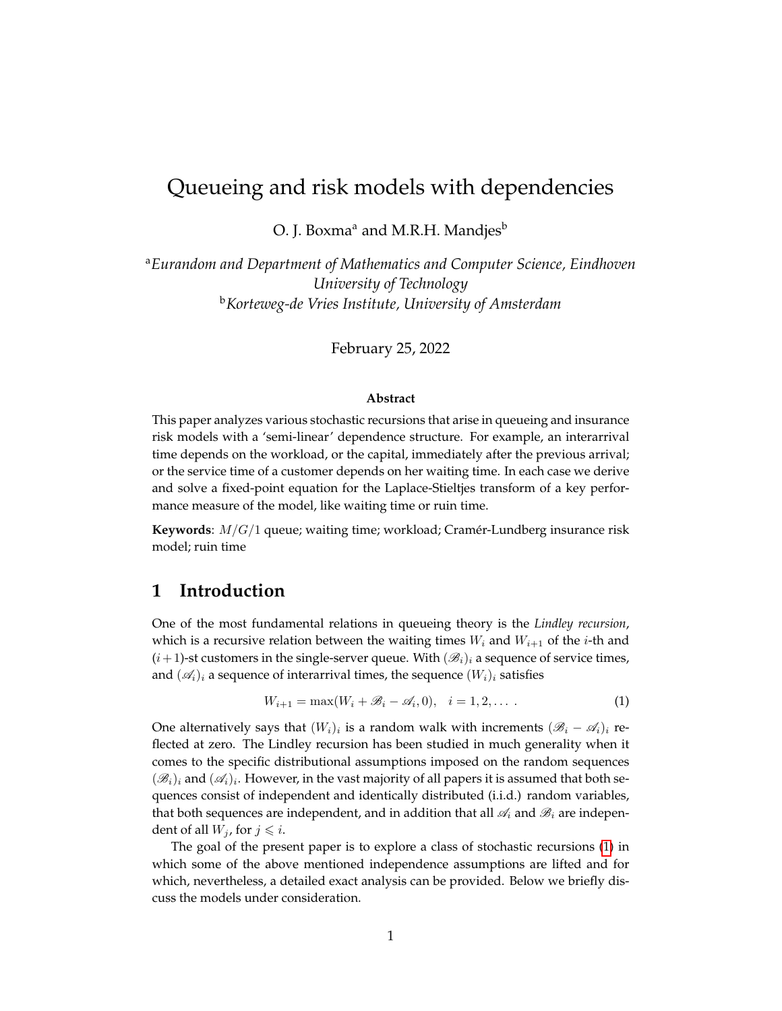## Queueing and risk models with dependencies

O. J. Boxma<sup>a</sup> and M.R.H. Mandjes<sup>b</sup>

<sup>a</sup>*Eurandom and Department of Mathematics and Computer Science, Eindhoven University of Technology* <sup>b</sup>*Korteweg-de Vries Institute, University of Amsterdam*

February 25, 2022

#### **Abstract**

This paper analyzes various stochastic recursions that arise in queueing and insurance risk models with a 'semi-linear' dependence structure. For example, an interarrival time depends on the workload, or the capital, immediately after the previous arrival; or the service time of a customer depends on her waiting time. In each case we derive and solve a fixed-point equation for the Laplace-Stieltjes transform of a key performance measure of the model, like waiting time or ruin time.

**Keywords**: M/G/1 queue; waiting time; workload; Cramer-Lundberg insurance risk ´ model; ruin time

### **1 Introduction**

One of the most fundamental relations in queueing theory is the *Lindley recursion*, which is a recursive relation between the waiting times  $W_i$  and  $W_{i+1}$  of the *i*-th and  $(i+1)$ -st customers in the single-server queue. With  $(\mathscr{B}_i)_i$  a sequence of service times, and  $(\mathcal{A}_i)_i$  a sequence of interarrival times, the sequence  $(W_i)_i$  satisfies

<span id="page-1-0"></span>
$$
W_{i+1} = \max(W_i + \mathcal{B}_i - \mathcal{A}_i, 0), \quad i = 1, 2, \dots \tag{1}
$$

One alternatively says that  $(W_i)_i$  is a random walk with increments  $(\mathscr{B}_i - \mathscr{A}_i)_i$  reflected at zero. The Lindley recursion has been studied in much generality when it comes to the specific distributional assumptions imposed on the random sequences  $(\mathscr{B}_i)_i$  and  $(\mathscr{A}_i)_i$ . However, in the vast majority of all papers it is assumed that both sequences consist of independent and identically distributed (i.i.d.) random variables, that both sequences are independent, and in addition that all  $\mathcal{A}_i$  and  $\mathcal{B}_i$  are independent of all  $W_j$ , for  $j \leq i$ .

The goal of the present paper is to explore a class of stochastic recursions [\(1\)](#page-1-0) in which some of the above mentioned independence assumptions are lifted and for which, nevertheless, a detailed exact analysis can be provided. Below we briefly discuss the models under consideration.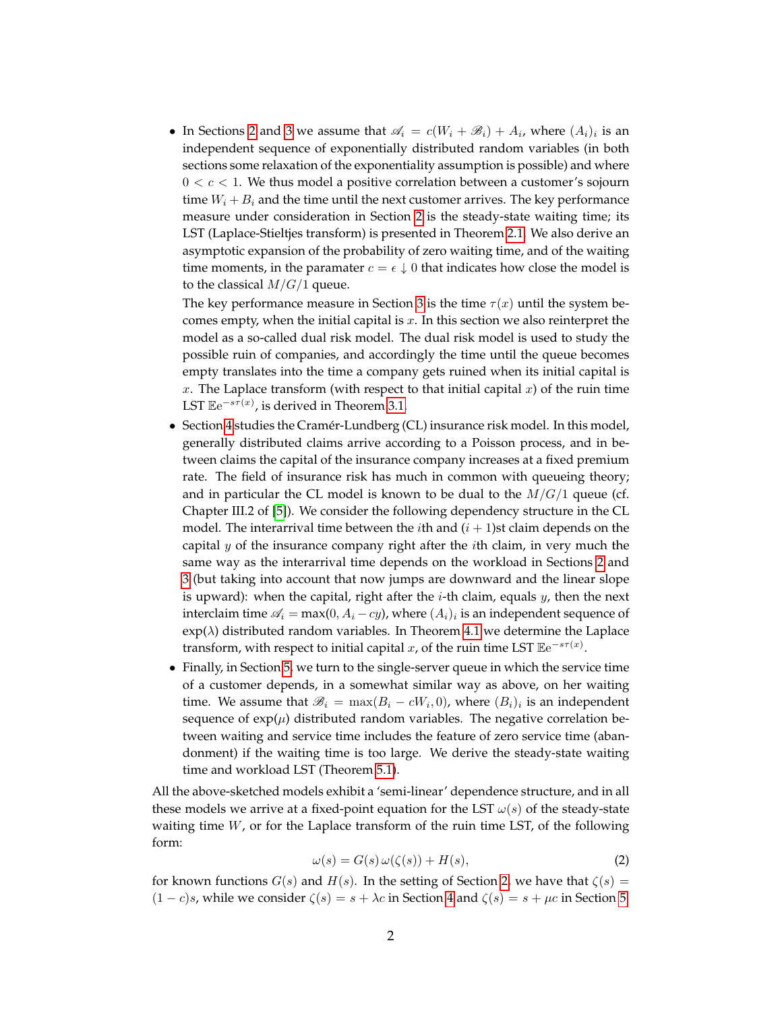• In Sections [2](#page-3-0) and [3](#page-8-0) we assume that  $\mathscr{A}_i = c(W_i + \mathscr{B}_i) + A_i$ , where  $(A_i)_i$  is an independent sequence of exponentially distributed random variables (in both sections some relaxation of the exponentiality assumption is possible) and where  $0 < c < 1$ . We thus model a positive correlation between a customer's sojourn time  $W_i + B_i$  and the time until the next customer arrives. The key performance measure under consideration in Section [2](#page-3-0) is the steady-state waiting time; its LST (Laplace-Stieltjes transform) is presented in Theorem [2.1.](#page-5-0) We also derive an asymptotic expansion of the probability of zero waiting time, and of the waiting time moments, in the paramater  $c = \epsilon \downarrow 0$  that indicates how close the model is to the classical  $M/G/1$  queue.

The key performance measure in Section [3](#page-8-0) is the time  $\tau(x)$  until the system becomes empty, when the initial capital is  $x$ . In this section we also reinterpret the model as a so-called dual risk model. The dual risk model is used to study the possible ruin of companies, and accordingly the time until the queue becomes empty translates into the time a company gets ruined when its initial capital is x. The Laplace transform (with respect to that initial capital  $x$ ) of the ruin time LST  $\mathbb{E}e^{-s\tau(x)}$ , is derived in Theorem [3.1.](#page-9-0)

- Section [4](#page-11-0) studies the Cramér-Lundberg (CL) insurance risk model. In this model, generally distributed claims arrive according to a Poisson process, and in between claims the capital of the insurance company increases at a fixed premium rate. The field of insurance risk has much in common with queueing theory; and in particular the CL model is known to be dual to the  $M/G/1$  queue (cf. Chapter III.2 of [\[5\]](#page-15-0)). We consider the following dependency structure in the CL model. The interarrival time between the *i*th and  $(i + 1)$ st claim depends on the capital  $y$  of the insurance company right after the *i*th claim, in very much the same way as the interarrival time depends on the workload in Sections [2](#page-3-0) and [3](#page-8-0) (but taking into account that now jumps are downward and the linear slope is upward): when the capital, right after the  $i$ -th claim, equals  $y$ , then the next interclaim time  $\mathscr{A}_i = \max(0, A_i - cy)$ , where  $(A_i)_i$  is an independent sequence of  $\exp(\lambda)$  distributed random variables. In Theorem [4.1](#page-12-0) we determine the Laplace transform, with respect to initial capital  $x$ , of the ruin time LST  $\mathbb{E}e^{-s\tau(x)}$ .
- Finally, in Section [5,](#page-13-0) we turn to the single-server queue in which the service time of a customer depends, in a somewhat similar way as above, on her waiting time. We assume that  $\mathscr{B}_i = \max(B_i - cW_i, 0)$ , where  $(B_i)_i$  is an independent sequence of  $exp(\mu)$  distributed random variables. The negative correlation between waiting and service time includes the feature of zero service time (abandonment) if the waiting time is too large. We derive the steady-state waiting time and workload LST (Theorem [5.1\)](#page-14-0).

<span id="page-2-0"></span>All the above-sketched models exhibit a 'semi-linear' dependence structure, and in all these models we arrive at a fixed-point equation for the LST  $\omega(s)$  of the steady-state waiting time  $W$ , or for the Laplace transform of the ruin time LST, of the following form:

$$
\omega(s) = G(s)\,\omega(\zeta(s)) + H(s),\tag{2}
$$

for known functions  $G(s)$  and  $H(s)$ . In the setting of Section [2,](#page-3-0) we have that  $\zeta(s)$  =  $(1 - c)s$ , while we consider  $\zeta(s) = s + \lambda c$  in Section [4](#page-11-0) and  $\zeta(s) = s + \mu c$  in Section [5.](#page-13-0)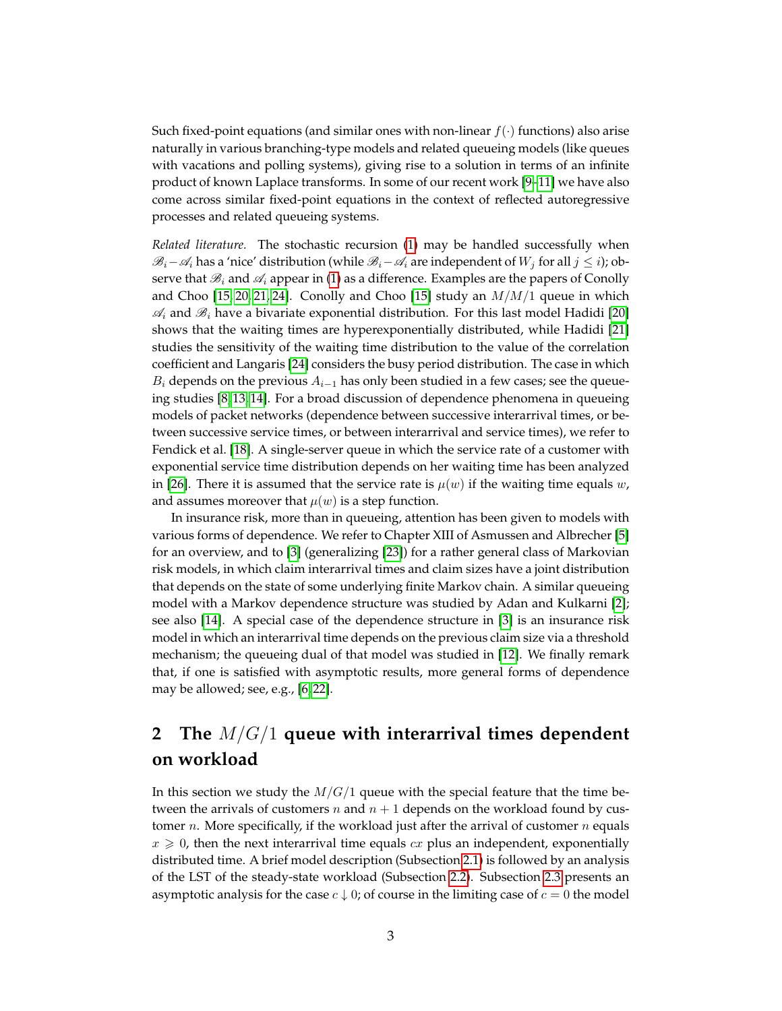Such fixed-point equations (and similar ones with non-linear  $f(\cdot)$  functions) also arise naturally in various branching-type models and related queueing models (like queues with vacations and polling systems), giving rise to a solution in terms of an infinite product of known Laplace transforms. In some of our recent work [\[9–](#page-15-1)[11\]](#page-15-2) we have also come across similar fixed-point equations in the context of reflected autoregressive processes and related queueing systems.

*Related literature.* The stochastic recursion [\(1\)](#page-1-0) may be handled successfully when  $\mathscr{B}_i-\mathscr{A}_i$  has a 'nice' distribution (while  $\mathscr{B}_i-\mathscr{A}_i$  are independent of  $W_i$  for all  $j\leq i$ ); observe that  $\mathcal{B}_i$  and  $\mathcal{A}_i$  appear in [\(1\)](#page-1-0) as a difference. Examples are the papers of Conolly and Choo [\[15,](#page-15-3) [20,](#page-16-0) [21,](#page-16-1) [24\]](#page-16-2). Conolly and Choo [\[15\]](#page-15-3) study an  $M/M/1$  queue in which  $\mathcal{A}_i$  and  $\mathcal{B}_i$  have a bivariate exponential distribution. For this last model Hadidi [\[20\]](#page-16-0) shows that the waiting times are hyperexponentially distributed, while Hadidi [\[21\]](#page-16-1) studies the sensitivity of the waiting time distribution to the value of the correlation coefficient and Langaris [\[24\]](#page-16-2) considers the busy period distribution. The case in which  $B_i$  depends on the previous  $A_{i-1}$  has only been studied in a few cases; see the queueing studies [\[8,](#page-15-4) [13,](#page-15-5) [14\]](#page-15-6). For a broad discussion of dependence phenomena in queueing models of packet networks (dependence between successive interarrival times, or between successive service times, or between interarrival and service times), we refer to Fendick et al. [\[18\]](#page-16-3). A single-server queue in which the service rate of a customer with exponential service time distribution depends on her waiting time has been analyzed in [\[26\]](#page-16-4). There it is assumed that the service rate is  $\mu(w)$  if the waiting time equals w, and assumes moreover that  $\mu(w)$  is a step function.

In insurance risk, more than in queueing, attention has been given to models with various forms of dependence. We refer to Chapter XIII of Asmussen and Albrecher [\[5\]](#page-15-0) for an overview, and to [\[3\]](#page-15-7) (generalizing [\[23\]](#page-16-5)) for a rather general class of Markovian risk models, in which claim interarrival times and claim sizes have a joint distribution that depends on the state of some underlying finite Markov chain. A similar queueing model with a Markov dependence structure was studied by Adan and Kulkarni [\[2\]](#page-15-8); see also [\[14\]](#page-15-6). A special case of the dependence structure in [\[3\]](#page-15-7) is an insurance risk model in which an interarrival time depends on the previous claim size via a threshold mechanism; the queueing dual of that model was studied in [\[12\]](#page-15-9). We finally remark that, if one is satisfied with asymptotic results, more general forms of dependence may be allowed; see, e.g., [\[6,](#page-15-10) [22\]](#page-16-6).

# <span id="page-3-0"></span>**2 The** M/G/1 **queue with interarrival times dependent on workload**

In this section we study the  $M/G/1$  queue with the special feature that the time between the arrivals of customers n and  $n + 1$  depends on the workload found by customer *n*. More specifically, if the workload just after the arrival of customer *n* equals  $x \geq 0$ , then the next interarrival time equals cx plus an independent, exponentially distributed time. A brief model description (Subsection [2.1\)](#page-4-0) is followed by an analysis of the LST of the steady-state workload (Subsection [2.2\)](#page-4-1). Subsection [2.3](#page-5-1) presents an asymptotic analysis for the case  $c \downarrow 0$ ; of course in the limiting case of  $c = 0$  the model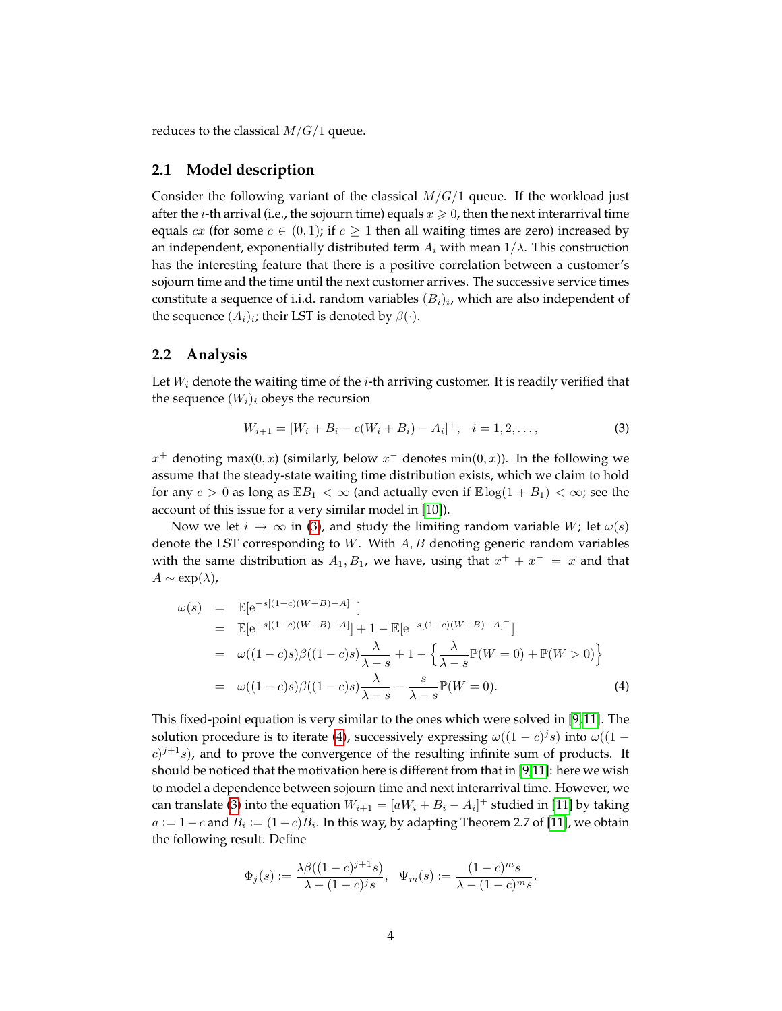reduces to the classical  $M/G/1$  queue.

#### <span id="page-4-0"></span>**2.1 Model description**

Consider the following variant of the classical  $M/G/1$  queue. If the workload just after the *i*-th arrival (i.e., the sojourn time) equals  $x \ge 0$ , then the next interarrival time equals cx (for some  $c \in (0,1)$ ; if  $c \geq 1$  then all waiting times are zero) increased by an independent, exponentially distributed term  $A_i$  with mean  $1/\lambda$ . This construction has the interesting feature that there is a positive correlation between a customer's sojourn time and the time until the next customer arrives. The successive service times constitute a sequence of i.i.d. random variables  $(B_i)_i$ , which are also independent of the sequence  $(A_i)_i$ ; their LST is denoted by  $\beta(\cdot).$ 

#### <span id="page-4-1"></span>**2.2 Analysis**

Let  $W_i$  denote the waiting time of the *i*-th arriving customer. It is readily verified that the sequence  $(W_i)_i$  obeys the recursion

<span id="page-4-2"></span>
$$
W_{i+1} = [W_i + B_i - c(W_i + B_i) - A_i]^+, \quad i = 1, 2, \dots,
$$
\n(3)

 $x^+$  denoting max(0, x) (similarly, below  $x^-$  denotes  $\min(0, x)$ ). In the following we assume that the steady-state waiting time distribution exists, which we claim to hold for any  $c > 0$  as long as  $\mathbb{E}B_1 < \infty$  (and actually even if  $\mathbb{E} \log(1 + B_1) < \infty$ ; see the account of this issue for a very similar model in [\[10\]](#page-15-11)).

Now we let  $i \to \infty$  in [\(3\)](#page-4-2), and study the limiting random variable W; let  $\omega(s)$ denote the LST corresponding to  $W$ . With  $A, B$  denoting generic random variables with the same distribution as  $A_1, B_1$ , we have, using that  $x^+ + x^- = x$  and that  $A \sim \exp(\lambda)$ ,

<span id="page-4-3"></span>
$$
\omega(s) = \mathbb{E}[e^{-s[(1-c)(W+B)-A]^+}] \n= \mathbb{E}[e^{-s[(1-c)(W+B)-A]}] + 1 - \mathbb{E}[e^{-s[(1-c)(W+B)-A]}] \n= \omega((1-c)s)\beta((1-c)s)\frac{\lambda}{\lambda-s} + 1 - \left\{\frac{\lambda}{\lambda-s}\mathbb{P}(W=0) + \mathbb{P}(W>0)\right\} \n= \omega((1-c)s)\beta((1-c)s)\frac{\lambda}{\lambda-s} - \frac{s}{\lambda-s}\mathbb{P}(W=0).
$$
\n(4)

This fixed-point equation is very similar to the ones which were solved in [\[9,](#page-15-1) [11\]](#page-15-2). The solution procedure is to iterate [\(4\)](#page-4-3), successively expressing  $\omega((1-c)^j s)$  into  $\omega((1-c)^j s)$  $(c)^{j+1}s$ ), and to prove the convergence of the resulting infinite sum of products. It should be noticed that the motivation here is different from that in [\[9](#page-15-1)[,11\]](#page-15-2): here we wish to model a dependence between sojourn time and next interarrival time. However, we can translate [\(3\)](#page-4-2) into the equation  $W_{i+1} = [aW_i + B_i - A_i]^+$  studied in [\[11\]](#page-15-2) by taking  $a := 1 - c$  and  $B_i := (1 - c)B_i$ . In this way, by adapting Theorem 2.7 of [\[11\]](#page-15-2), we obtain the following result. Define

$$
\Phi_j(s) := \frac{\lambda \beta((1-c)^{j+1}s)}{\lambda - (1-c)^j s}, \quad \Psi_m(s) := \frac{(1-c)^m s}{\lambda - (1-c)^m s}.
$$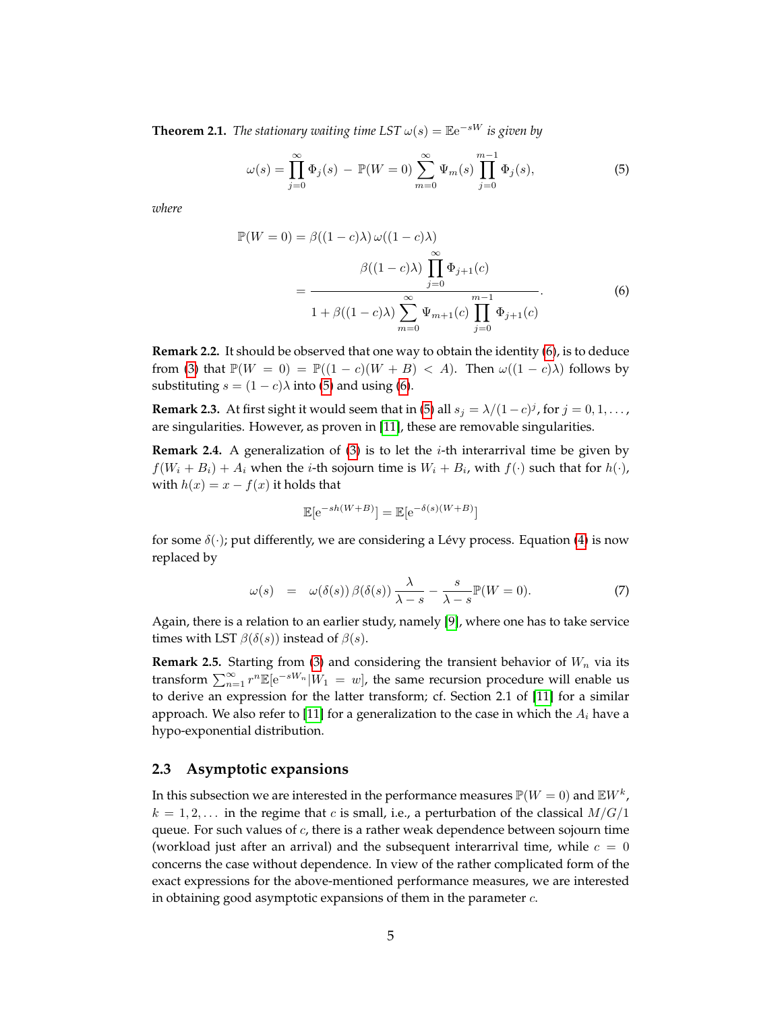<span id="page-5-0"></span>**Theorem 2.1.** *The stationary waiting time LST*  $\omega(s) = \mathbb{E}e^{-sW}$  *is given by* 

<span id="page-5-3"></span>
$$
\omega(s) = \prod_{j=0}^{\infty} \Phi_j(s) - \mathbb{P}(W = 0) \sum_{m=0}^{\infty} \Psi_m(s) \prod_{j=0}^{m-1} \Phi_j(s),
$$
 (5)

*where*

<span id="page-5-2"></span>
$$
\mathbb{P}(W=0) = \beta((1-c)\lambda) \omega((1-c)\lambda)
$$

$$
\beta((1-c)\lambda) \prod_{j=0}^{\infty} \Phi_{j+1}(c)
$$

$$
= \frac{\beta((1-c)\lambda) \sum_{j=0}^{\infty} \Psi_{j+1}(c)}{1 + \beta((1-c)\lambda) \sum_{m=0}^{\infty} \Psi_{m+1}(c) \prod_{j=0}^{m-1} \Phi_{j+1}(c)}
$$
(6)

**Remark 2.2.** It should be observed that one way to obtain the identity [\(6\)](#page-5-2), is to deduce from [\(3\)](#page-4-2) that  $\mathbb{P}(W = 0) = \mathbb{P}((1 - c)(W + B) < A)$ . Then  $\omega((1 - c)\lambda)$  follows by substituting  $s = (1 - c)\lambda$  into [\(5\)](#page-5-3) and using [\(6\)](#page-5-2).

**Remark 2.3.** At first sight it would seem that in [\(5\)](#page-5-3) all  $s_j = \lambda/(1-c)^j$ , for  $j = 0, 1, \ldots$ , are singularities. However, as proven in [\[11\]](#page-15-2), these are removable singularities.

**Remark 2.4.** A generalization of [\(3\)](#page-4-2) is to let the *i*-th interarrival time be given by  $f(W_i + B_i) + A_i$  when the *i*-th sojourn time is  $W_i + B_i$ , with  $f(\cdot)$  such that for  $h(\cdot)$ , with  $h(x) = x - f(x)$  it holds that

$$
\mathbb{E}[\mathrm{e}^{-sh(W+B)}] = \mathbb{E}[\mathrm{e}^{-\delta(s)(W+B)}]
$$

for some  $\delta(\cdot)$ ; put differently, we are considering a Lévy process. Equation [\(4\)](#page-4-3) is now replaced by

$$
\omega(s) = \omega(\delta(s))\beta(\delta(s))\frac{\lambda}{\lambda - s} - \frac{s}{\lambda - s}\mathbb{P}(W = 0). \tag{7}
$$

Again, there is a relation to an earlier study, namely [\[9\]](#page-15-1), where one has to take service times with LST  $\beta(\delta(s))$  instead of  $\beta(s)$ .

<span id="page-5-4"></span>**Remark 2.5.** Starting from [\(3\)](#page-4-2) and considering the transient behavior of  $W_n$  via its transform  $\sum_{n=1}^{\infty} r^n \mathbb{E}[e^{-sW_n}|W_1 = w]$ , the same recursion procedure will enable us to derive an expression for the latter transform; cf. Section 2.1 of [\[11\]](#page-15-2) for a similar approach. We also refer to [\[11\]](#page-15-2) for a generalization to the case in which the  $A_i$  have a hypo-exponential distribution.

#### <span id="page-5-1"></span>**2.3 Asymptotic expansions**

In this subsection we are interested in the performance measures  $\mathbb{P}(W=0)$  and  $\mathbb{E} W^{k}$  ,  $k = 1, 2, \ldots$  in the regime that c is small, i.e., a perturbation of the classical  $M/G/1$ queue. For such values of  $c$ , there is a rather weak dependence between sojourn time (workload just after an arrival) and the subsequent interarrival time, while  $c = 0$ concerns the case without dependence. In view of the rather complicated form of the exact expressions for the above-mentioned performance measures, we are interested in obtaining good asymptotic expansions of them in the parameter  $c$ .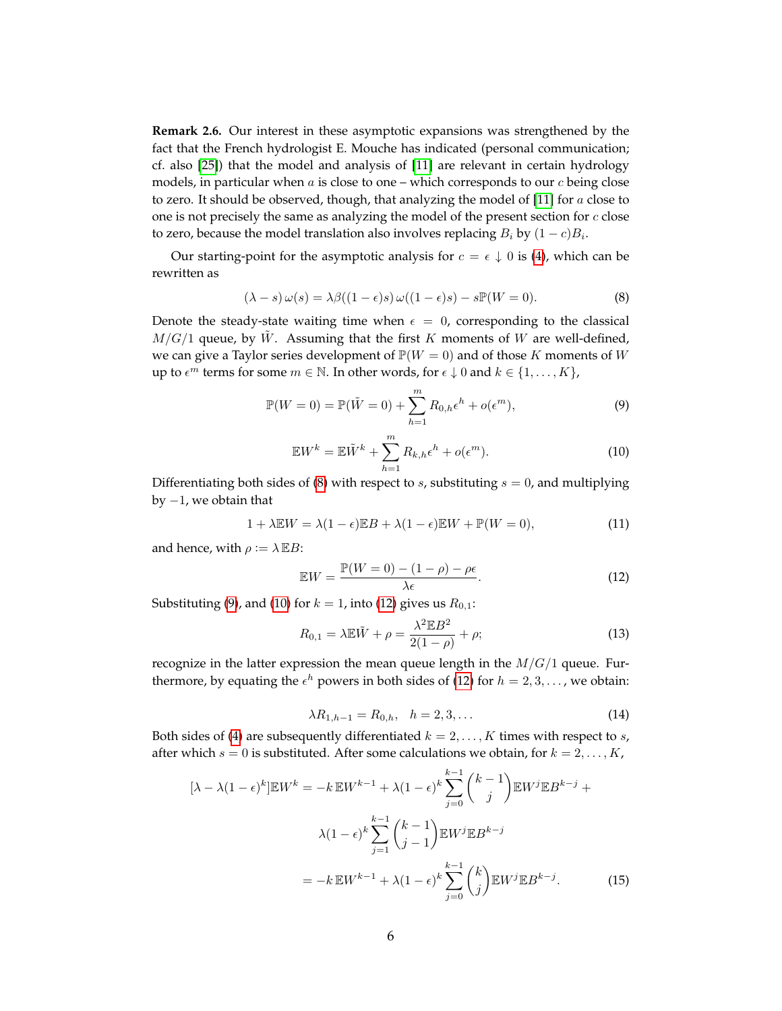**Remark 2.6.** Our interest in these asymptotic expansions was strengthened by the fact that the French hydrologist E. Mouche has indicated (personal communication; cf. also [\[25\]](#page-16-7)) that the model and analysis of [\[11\]](#page-15-2) are relevant in certain hydrology models, in particular when  $a$  is close to one – which corresponds to our  $c$  being close to zero. It should be observed, though, that analyzing the model of  $[11]$  for a close to one is not precisely the same as analyzing the model of the present section for  $c$  close to zero, because the model translation also involves replacing  $B_i$  by  $(1-c)B_i$ .

Our starting-point for the asymptotic analysis for  $c = \epsilon \downarrow 0$  is [\(4\)](#page-4-3), which can be rewritten as

<span id="page-6-0"></span>
$$
(\lambda - s)\,\omega(s) = \lambda\beta((1 - \epsilon)s)\,\omega((1 - \epsilon)s) - s\mathbb{P}(W = 0). \tag{8}
$$

Denote the steady-state waiting time when  $\epsilon = 0$ , corresponding to the classical  $M/G/1$  queue, by  $\tilde{W}$ . Assuming that the first K moments of W are well-defined, we can give a Taylor series development of  $\mathbb{P}(W = 0)$  and of those K moments of W up to  $\epsilon^m$  terms for some  $m \in \mathbb{N}$ . In other words, for  $\epsilon \downarrow 0$  and  $k \in \{1, \ldots, K\}$ ,

$$
\mathbb{P}(W=0) = \mathbb{P}(\tilde{W}=0) + \sum_{h=1}^{m} R_{0,h} \epsilon^h + o(\epsilon^m), \tag{9}
$$

<span id="page-6-1"></span>
$$
\mathbb{E}W^{k} = \mathbb{E}\tilde{W}^{k} + \sum_{h=1}^{m} R_{k,h} \epsilon^{h} + o(\epsilon^{m}).
$$
\n(10)

<span id="page-6-2"></span>Differentiating both sides of [\(8\)](#page-6-0) with respect to  $s$ , substituting  $s = 0$ , and multiplying by  $-1$ , we obtain that

$$
1 + \lambda \mathbb{E}W = \lambda(1 - \epsilon)\mathbb{E}B + \lambda(1 - \epsilon)\mathbb{E}W + \mathbb{P}(W = 0),\tag{11}
$$

and hence, with  $\rho := \lambda \mathbb{E} B$ :

<span id="page-6-3"></span>
$$
\mathbb{E}W = \frac{\mathbb{P}(W=0) - (1-\rho) - \rho\epsilon}{\lambda\epsilon}.
$$
\n(12)

Substituting [\(9\)](#page-6-1), and [\(10\)](#page-6-2) for  $k = 1$ , into [\(12\)](#page-6-3) gives us  $R_{0,1}$ :

<span id="page-6-5"></span>
$$
R_{0,1} = \lambda \mathbb{E}\tilde{W} + \rho = \frac{\lambda^2 \mathbb{E}B^2}{2(1-\rho)} + \rho; \tag{13}
$$

recognize in the latter expression the mean queue length in the  $M/G/1$  queue. Furthermore, by equating the  $\epsilon^h$  powers in both sides of [\(12\)](#page-6-3) for  $h = 2, 3, \ldots$ , we obtain:

<span id="page-6-4"></span>
$$
\lambda R_{1,h-1} = R_{0,h}, \quad h = 2, 3, \dots \tag{14}
$$

Both sides of [\(4\)](#page-4-3) are subsequently differentiated  $k = 2, \ldots, K$  times with respect to s, after which  $s = 0$  is substituted. After some calculations we obtain, for  $k = 2, \ldots, K$ ,

$$
[\lambda - \lambda (1 - \epsilon)^k] \mathbb{E} W^k = -k \mathbb{E} W^{k-1} + \lambda (1 - \epsilon)^k \sum_{j=0}^{k-1} {k-1 \choose j} \mathbb{E} W^j \mathbb{E} B^{k-j} +
$$

$$
\lambda (1 - \epsilon)^k \sum_{j=1}^{k-1} {k-1 \choose j-1} \mathbb{E} W^j \mathbb{E} B^{k-j}
$$

$$
= -k \mathbb{E} W^{k-1} + \lambda (1 - \epsilon)^k \sum_{j=0}^{k-1} {k \choose j} \mathbb{E} W^j \mathbb{E} B^{k-j}.
$$
(15)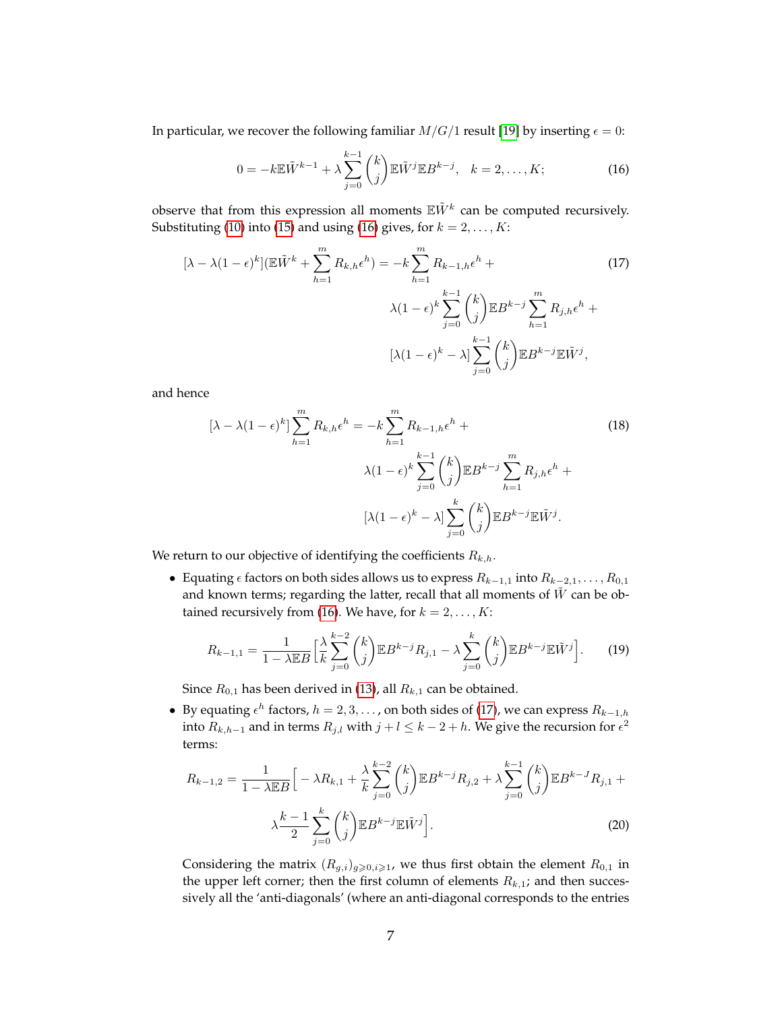In particular, we recover the following familiar  $M/G/1$  result [\[19\]](#page-16-8) by inserting  $\epsilon = 0$ :

<span id="page-7-1"></span><span id="page-7-0"></span>
$$
0 = -k \mathbb{E} \tilde{W}^{k-1} + \lambda \sum_{j=0}^{k-1} {k \choose j} \mathbb{E} \tilde{W}^j \mathbb{E} B^{k-j}, \quad k = 2, \dots, K; \tag{16}
$$

observe that from this expression all moments  $\mathbb{E} \tilde{W}^k$  can be computed recursively. Substituting [\(10\)](#page-6-2) into [\(15\)](#page-6-4) and using [\(16\)](#page-7-0) gives, for  $k = 2, ..., K$ :

$$
[\lambda - \lambda (1 - \epsilon)^k] (\mathbb{E}\tilde{W}^k + \sum_{h=1}^m R_{k,h} \epsilon^h) = -k \sum_{h=1}^m R_{k-1,h} \epsilon^h + \lambda (1 - \epsilon)^k \sum_{j=0}^{k-1} {k \choose j} \mathbb{E} B^{k-j} \sum_{h=1}^m R_{j,h} \epsilon^h + \left[\lambda (1 - \epsilon)^k - \lambda \right] \sum_{j=0}^{k-1} {k \choose j} \mathbb{E} B^{k-j} \mathbb{E} \tilde{W}^j,
$$
\n(17)

and hence

$$
[\lambda - \lambda (1 - \epsilon)^k] \sum_{h=1}^m R_{k,h} \epsilon^h = -k \sum_{h=1}^m R_{k-1,h} \epsilon^h + \lambda (1 - \epsilon)^k \sum_{j=0}^{k-1} {k \choose j} \mathbb{E} B^{k-j} \sum_{h=1}^m R_{j,h} \epsilon^h + \left[ \lambda (1 - \epsilon)^k - \lambda \right] \sum_{j=0}^k {k \choose j} \mathbb{E} B^{k-j} \mathbb{E} \tilde{W}^j.
$$
 (18)

We return to our objective of identifying the coefficients  $R_{k,h}$ .

• Equating  $\epsilon$  factors on both sides allows us to express  $R_{k-1,1}$  into  $R_{k-2,1}, \ldots, R_{0,1}$ and known terms; regarding the latter, recall that all moments of  $W$  can be ob-tained recursively from [\(16\)](#page-7-0). We have, for  $k = 2, ..., K$ :

$$
R_{k-1,1} = \frac{1}{1 - \lambda \mathbb{E}B} \left[ \frac{\lambda}{k} \sum_{j=0}^{k-2} {k \choose j} \mathbb{E}B^{k-j} R_{j,1} - \lambda \sum_{j=0}^{k} {k \choose j} \mathbb{E}B^{k-j} \mathbb{E} \tilde{W}^{j} \right].
$$
 (19)

Since  $R_{0,1}$  has been derived in [\(13\)](#page-6-5), all  $R_{k,1}$  can be obtained.

• By equating  $\epsilon^h$  factors,  $h = 2, 3, \ldots$ , on both sides of [\(17\)](#page-7-1), we can express  $R_{k-1,h}$ into  $R_{k,h-1}$  and in terms  $R_{j,l}$  with  $j+l \leq k-2+h$ . We give the recursion for  $\epsilon^2$ terms:

$$
R_{k-1,2} = \frac{1}{1 - \lambda \mathbb{E}B} \Big[ -\lambda R_{k,1} + \frac{\lambda}{k} \sum_{j=0}^{k-2} {k \choose j} \mathbb{E}B^{k-j} R_{j,2} + \lambda \sum_{j=0}^{k-1} {k \choose j} \mathbb{E}B^{k-J} R_{j,1} + \lambda \frac{k-1}{2} \sum_{j=0}^{k} {k \choose j} \mathbb{E}B^{k-j} \mathbb{E}\tilde{W}^{j} \Big].
$$
\n(20)

Considering the matrix  $(R_{q,i})_{q\geqslant0,i\geqslant1}$ , we thus first obtain the element  $R_{0,1}$  in the upper left corner; then the first column of elements  $R_{k,1}$ ; and then successively all the 'anti-diagonals' (where an anti-diagonal corresponds to the entries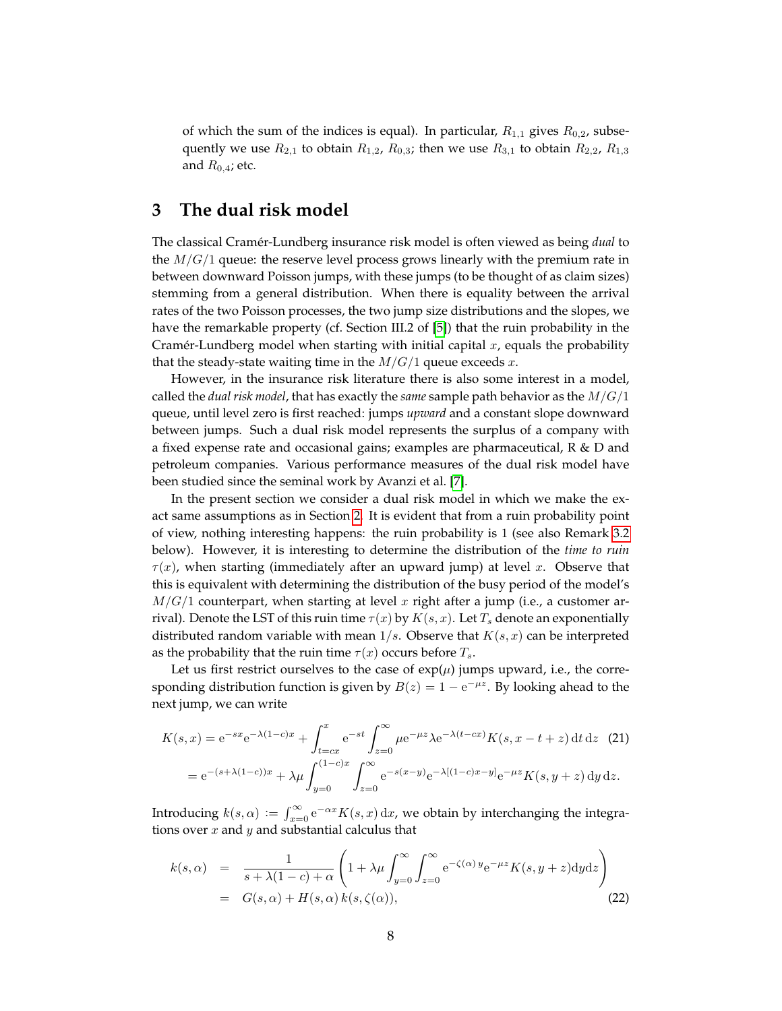of which the sum of the indices is equal). In particular,  $R_{1,1}$  gives  $R_{0,2}$ , subsequently we use  $R_{2,1}$  to obtain  $R_{1,2}$ ,  $R_{0,3}$ ; then we use  $R_{3,1}$  to obtain  $R_{2,2}$ ,  $R_{1,3}$ and  $R_{0.4}$ ; etc.

### <span id="page-8-0"></span>**3 The dual risk model**

The classical Cramér-Lundberg insurance risk model is often viewed as being *dual* to the  $M/G/1$  queue: the reserve level process grows linearly with the premium rate in between downward Poisson jumps, with these jumps (to be thought of as claim sizes) stemming from a general distribution. When there is equality between the arrival rates of the two Poisson processes, the two jump size distributions and the slopes, we have the remarkable property (cf. Section III.2 of [\[5\]](#page-15-0)) that the ruin probability in the Cramer-Lundberg model when starting with initial capital  $x$ , equals the probability that the steady-state waiting time in the  $M/G/1$  queue exceeds  $x$ .

However, in the insurance risk literature there is also some interest in a model, called the *dual risk model*, that has exactly the *same* sample path behavior as the M/G/1 queue, until level zero is first reached: jumps *upward* and a constant slope downward between jumps. Such a dual risk model represents the surplus of a company with a fixed expense rate and occasional gains; examples are pharmaceutical, R & D and petroleum companies. Various performance measures of the dual risk model have been studied since the seminal work by Avanzi et al. [\[7\]](#page-15-12).

In the present section we consider a dual risk model in which we make the exact same assumptions as in Section [2.](#page-3-0) It is evident that from a ruin probability point of view, nothing interesting happens: the ruin probability is 1 (see also Remark [3.2](#page-9-1) below). However, it is interesting to determine the distribution of the *time to ruin*  $\tau(x)$ , when starting (immediately after an upward jump) at level x. Observe that this is equivalent with determining the distribution of the busy period of the model's  $M/G/1$  counterpart, when starting at level x right after a jump (i.e., a customer arrival). Denote the LST of this ruin time  $\tau(x)$  by  $K(s, x)$ . Let  $T_s$  denote an exponentially distributed random variable with mean  $1/s$ . Observe that  $K(s, x)$  can be interpreted as the probability that the ruin time  $\tau(x)$  occurs before  $T_s$ .

Let us first restrict ourselves to the case of  $exp(\mu)$  jumps upward, i.e., the corresponding distribution function is given by  $B(z) = 1 - e^{-\mu z}$ . By looking ahead to the next jump, we can write

$$
K(s,x) = e^{-sx}e^{-\lambda(1-c)x} + \int_{t=cx}^{x} e^{-st} \int_{z=0}^{\infty} \mu e^{-\mu z} \lambda e^{-\lambda(t-cx)} K(s, x-t+z) dt dz
$$
 (21)  
=  $e^{-(s+\lambda(1-c))x} + \lambda \mu \int_{y=0}^{(1-c)x} \int_{z=0}^{\infty} e^{-s(x-y)} e^{-\lambda[(1-c)x-y]} e^{-\mu z} K(s, y+z) dy dz.$ 

Introducing  $k(s, \alpha) := \int_{x=0}^{\infty} e^{-\alpha x} K(s, x) dx$ , we obtain by interchanging the integrations over  $x$  and  $y$  and substantial calculus that

<span id="page-8-1"></span>
$$
k(s,\alpha) = \frac{1}{s + \lambda(1-c) + \alpha} \left(1 + \lambda \mu \int_{y=0}^{\infty} \int_{z=0}^{\infty} e^{-\zeta(\alpha) y} e^{-\mu z} K(s, y+z) dy dz \right)
$$
  
=  $G(s,\alpha) + H(s,\alpha) k(s,\zeta(\alpha)),$  (22)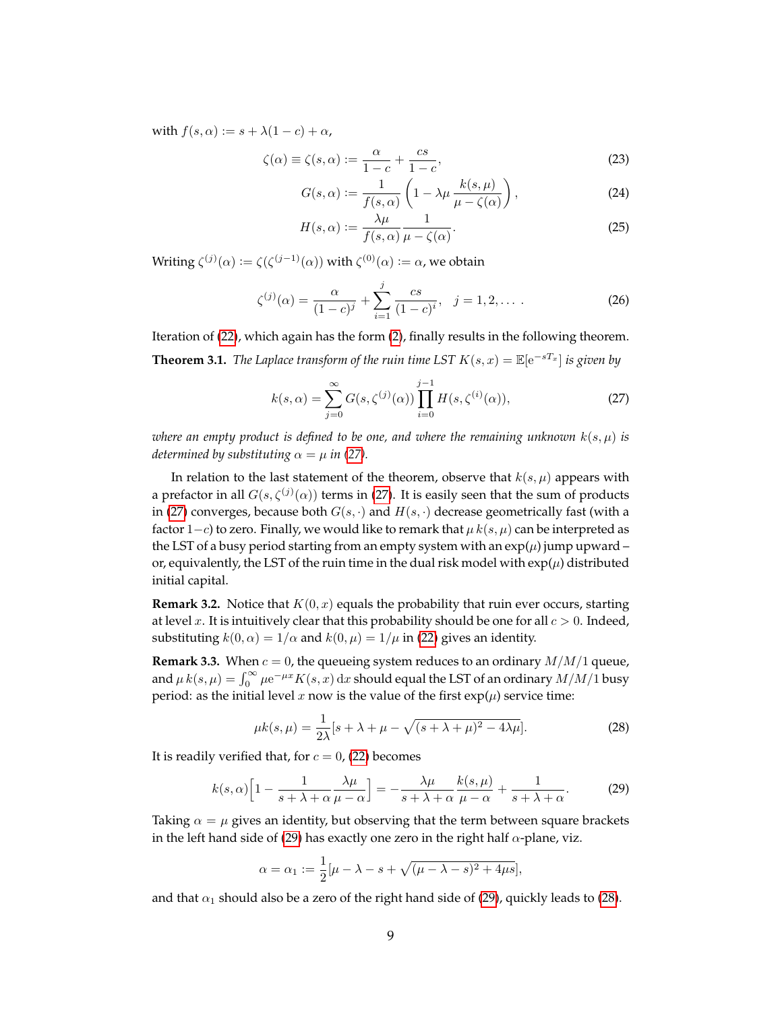with  $f(s, \alpha) := s + \lambda(1 - c) + \alpha$ ,

$$
\zeta(\alpha) \equiv \zeta(s,\alpha) := \frac{\alpha}{1-c} + \frac{cs}{1-c},\tag{23}
$$

$$
G(s,\alpha) := \frac{1}{f(s,\alpha)} \left( 1 - \lambda \mu \, \frac{k(s,\mu)}{\mu - \zeta(\alpha)} \right),\tag{24}
$$

<span id="page-9-2"></span>
$$
H(s,\alpha) := \frac{\lambda\mu}{f(s,\alpha)} \frac{1}{\mu - \zeta(\alpha)}.
$$
 (25)

Writing  $\zeta^{(j)}(\alpha) := \zeta(\zeta^{(j-1)}(\alpha))$  with  $\zeta^{(0)}(\alpha) := \alpha$ , we obtain

$$
\zeta^{(j)}(\alpha) = \frac{\alpha}{(1-c)^j} + \sum_{i=1}^j \frac{cs}{(1-c)^i}, \quad j = 1, 2, \dots \,.
$$
 (26)

<span id="page-9-0"></span>Iteration of [\(22\)](#page-8-1), which again has the form [\(2\)](#page-2-0), finally results in the following theorem. **Theorem 3.1.** *The Laplace transform of the ruin time LST*  $K(s, x) = \mathbb{E}[e^{-sT_x}]$  *is given by* 

$$
k(s,\alpha) = \sum_{j=0}^{\infty} G(s,\zeta^{(j)}(\alpha)) \prod_{i=0}^{j-1} H(s,\zeta^{(i)}(\alpha)),
$$
 (27)

*where an empty product is defined to be one, and where the remaining unknown*  $k(s, \mu)$  *is determined by substituting*  $\alpha = \mu$  *in* [\(27\)](#page-9-2)*.* 

In relation to the last statement of the theorem, observe that  $k(s, \mu)$  appears with a prefactor in all  $G(s,\zeta^{(j)}(\alpha))$  terms in [\(27\)](#page-9-2). It is easily seen that the sum of products in [\(27\)](#page-9-2) converges, because both  $G(s, \cdot)$  and  $H(s, \cdot)$  decrease geometrically fast (with a factor 1−c) to zero. Finally, we would like to remark that  $\mu$  k(s,  $\mu$ ) can be interpreted as the LST of a busy period starting from an empty system with an  $exp(\mu)$  jump upward – or, equivalently, the LST of the ruin time in the dual risk model with  $\exp(\mu)$  distributed initial capital.

<span id="page-9-1"></span>**Remark 3.2.** Notice that  $K(0, x)$  equals the probability that ruin ever occurs, starting at level x. It is intuitively clear that this probability should be one for all  $c > 0$ . Indeed, substituting  $k(0, \alpha) = 1/\alpha$  and  $k(0, \mu) = 1/\mu$  in [\(22\)](#page-8-1) gives an identity.

**Remark 3.3.** When  $c = 0$ , the queueing system reduces to an ordinary  $M/M/1$  queue, and  $\mu$   $k(s,\mu) = \int_0^\infty \mu \mathrm{e}^{-\mu x} K(s,x) \, \mathrm{d}x$  should equal the LST of an ordinary  $M/M/1$  busy period: as the initial level x now is the value of the first  $exp(\mu)$  service time:

<span id="page-9-4"></span><span id="page-9-3"></span>
$$
\mu k(s,\mu) = \frac{1}{2\lambda} [s + \lambda + \mu - \sqrt{(s + \lambda + \mu)^2 - 4\lambda\mu}].
$$
\n(28)

It is readily verified that, for  $c = 0$ , [\(22\)](#page-8-1) becomes

$$
k(s,\alpha)\left[1-\frac{1}{s+\lambda+\alpha}\frac{\lambda\mu}{\mu-\alpha}\right] = -\frac{\lambda\mu}{s+\lambda+\alpha}\frac{k(s,\mu)}{\mu-\alpha} + \frac{1}{s+\lambda+\alpha}.\tag{29}
$$

Taking  $\alpha = \mu$  gives an identity, but observing that the term between square brackets in the left hand side of [\(29\)](#page-9-3) has exactly one zero in the right half  $\alpha$ -plane, viz.

$$
\alpha = \alpha_1 := \frac{1}{2} [\mu - \lambda - s + \sqrt{(\mu - \lambda - s)^2 + 4\mu s}],
$$

and that  $\alpha_1$  should also be a zero of the right hand side of [\(29\)](#page-9-3), quickly leads to [\(28\)](#page-9-4).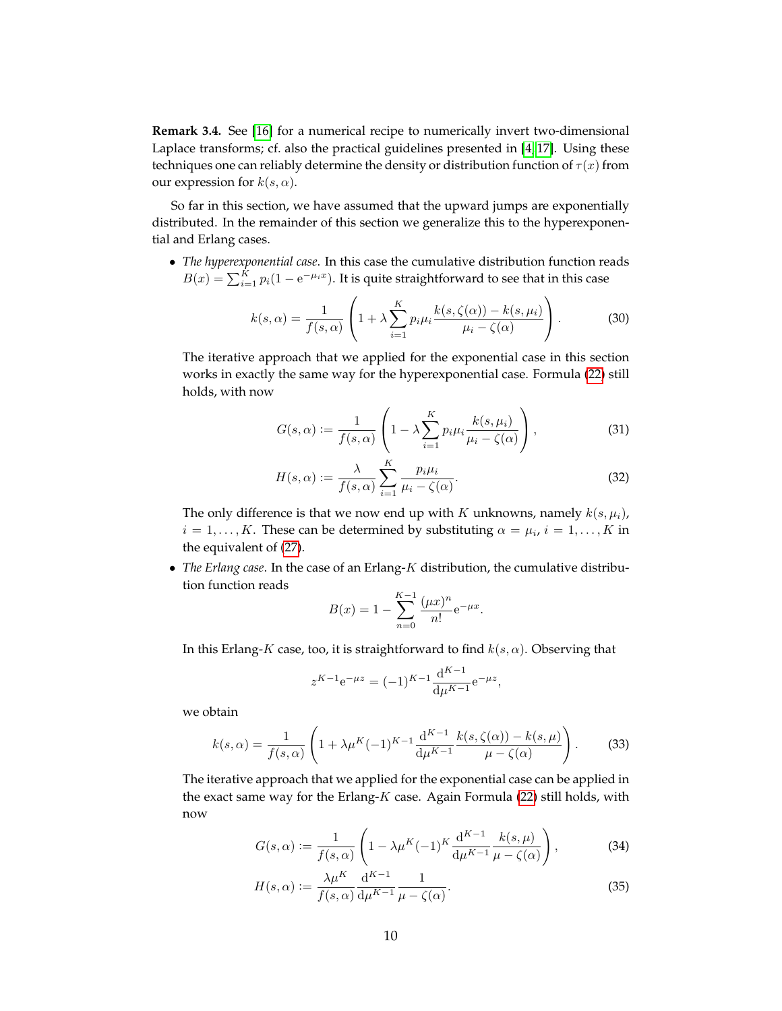**Remark 3.4.** See [\[16\]](#page-15-13) for a numerical recipe to numerically invert two-dimensional Laplace transforms; cf. also the practical guidelines presented in [\[4,](#page-15-14) [17\]](#page-15-15). Using these techniques one can reliably determine the density or distribution function of  $\tau(x)$  from our expression for  $k(s, \alpha)$ .

So far in this section, we have assumed that the upward jumps are exponentially distributed. In the remainder of this section we generalize this to the hyperexponential and Erlang cases.

• *The hyperexponential case*. In this case the cumulative distribution function reads  $B(x) = \sum_{i=1}^{K} p_i(1 - e^{-\mu_i x})$ . It is quite straightforward to see that in this case

$$
k(s,\alpha) = \frac{1}{f(s,\alpha)} \left( 1 + \lambda \sum_{i=1}^{K} p_i \mu_i \frac{k(s,\zeta(\alpha)) - k(s,\mu_i)}{\mu_i - \zeta(\alpha)} \right). \tag{30}
$$

The iterative approach that we applied for the exponential case in this section works in exactly the same way for the hyperexponential case. Formula [\(22\)](#page-8-1) still holds, with now

$$
G(s,\alpha) := \frac{1}{f(s,\alpha)} \left( 1 - \lambda \sum_{i=1}^{K} p_i \mu_i \frac{k(s,\mu_i)}{\mu_i - \zeta(\alpha)} \right),\tag{31}
$$

$$
H(s,\alpha) := \frac{\lambda}{f(s,\alpha)} \sum_{i=1}^{K} \frac{p_i \mu_i}{\mu_i - \zeta(\alpha)}.
$$
 (32)

.

The only difference is that we now end up with K unknowns, namely  $k(s, \mu_i)$ ,  $i = 1, \ldots, K$ . These can be determined by substituting  $\alpha = \mu_i$ ,  $i = 1, \ldots, K$  in the equivalent of [\(27\)](#page-9-2).

• *The Erlang case*. In the case of an Erlang-K distribution, the cumulative distribution function reads

$$
B(x) = 1 - \sum_{n=0}^{K-1} \frac{(\mu x)^n}{n!} e^{-\mu x}
$$

In this Erlang-K case, too, it is straightforward to find  $k(s, \alpha)$ . Observing that

$$
z^{K-1}e^{-\mu z} = (-1)^{K-1} \frac{d^{K-1}}{d\mu^{K-1}} e^{-\mu z},
$$

we obtain

$$
k(s,\alpha) = \frac{1}{f(s,\alpha)} \left( 1 + \lambda \mu^{K} (-1)^{K-1} \frac{d^{K-1}}{d\mu^{K-1}} \frac{k(s,\zeta(\alpha)) - k(s,\mu)}{\mu - \zeta(\alpha)} \right). \tag{33}
$$

The iterative approach that we applied for the exponential case can be applied in the exact same way for the Erlang- $K$  case. Again Formula [\(22\)](#page-8-1) still holds, with now

$$
G(s,\alpha) := \frac{1}{f(s,\alpha)} \left( 1 - \lambda \mu^K(-1)^K \frac{d^{K-1}}{d\mu^{K-1}} \frac{k(s,\mu)}{\mu - \zeta(\alpha)} \right),
$$
 (34)

$$
H(s,\alpha) := \frac{\lambda \mu^{K}}{f(s,\alpha)} \frac{\mathrm{d}^{K-1}}{\mathrm{d}\mu^{K-1}} \frac{1}{\mu - \zeta(\alpha)}.
$$
\n(35)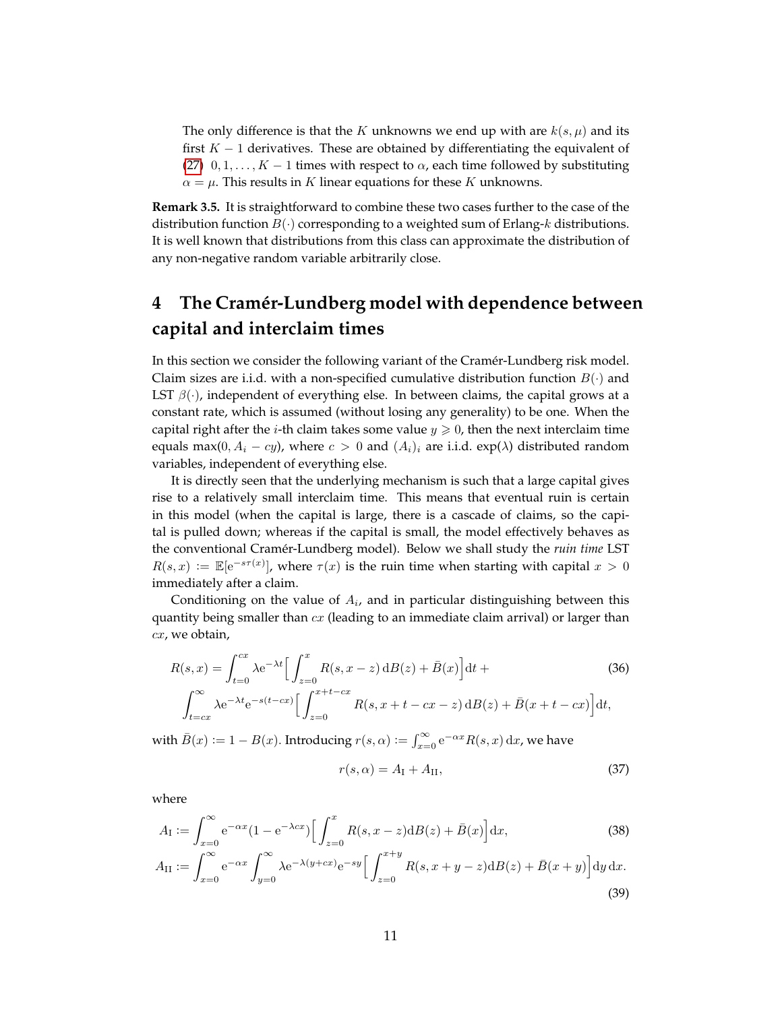The only difference is that the K unknowns we end up with are  $k(s, \mu)$  and its first  $K - 1$  derivatives. These are obtained by differentiating the equivalent of [\(27\)](#page-9-2)  $0, 1, \ldots, K - 1$  times with respect to  $\alpha$ , each time followed by substituting  $\alpha = \mu$ . This results in K linear equations for these K unknowns.

**Remark 3.5.** It is straightforward to combine these two cases further to the case of the distribution function  $B(\cdot)$  corresponding to a weighted sum of Erlang-k distributions. It is well known that distributions from this class can approximate the distribution of any non-negative random variable arbitrarily close.

## <span id="page-11-0"></span>**4 The Cram´er-Lundberg model with dependence between capital and interclaim times**

In this section we consider the following variant of the Cramér-Lundberg risk model. Claim sizes are i.i.d. with a non-specified cumulative distribution function  $B(\cdot)$  and LST  $\beta(\cdot)$ , independent of everything else. In between claims, the capital grows at a constant rate, which is assumed (without losing any generality) to be one. When the capital right after the *i*-th claim takes some value  $y \ge 0$ , then the next interclaim time equals max(0,  $A_i - cy$ ), where  $c > 0$  and  $(A_i)_i$  are i.i.d. exp( $\lambda$ ) distributed random variables, independent of everything else.

It is directly seen that the underlying mechanism is such that a large capital gives rise to a relatively small interclaim time. This means that eventual ruin is certain in this model (when the capital is large, there is a cascade of claims, so the capital is pulled down; whereas if the capital is small, the model effectively behaves as the conventional Cramér-Lundberg model). Below we shall study the *ruin time* LST  $R(s,x) := \mathbb{E}[e^{-s\tau(x)}],$  where  $\tau(x)$  is the ruin time when starting with capital  $x > 0$ immediately after a claim.

Conditioning on the value of  $A_i$ , and in particular distinguishing between this quantity being smaller than  $cx$  (leading to an immediate claim arrival) or larger than  $cx$ , we obtain,

$$
R(s,x) = \int_{t=0}^{cx} \lambda e^{-\lambda t} \Big[ \int_{z=0}^{x} R(s,x-z) \, dS(z) + \bar{B}(x) \Big] dt +
$$
\n
$$
\int_{t=cx}^{\infty} \lambda e^{-\lambda t} e^{-s(t-cx)} \Big[ \int_{z=0}^{x+t-cx} R(s,x+t-cx-z) \, dS(z) + \bar{B}(x+t-cx) \Big] dt,
$$
\n(36)

with  $\bar{B}(x) := 1 - B(x)$ . Introducing  $r(s, \alpha) := \int_{x=0}^{\infty} e^{-\alpha x} R(s, x) dx$ , we have

<span id="page-11-1"></span>
$$
r(s, \alpha) = A_{\rm I} + A_{\rm II},\tag{37}
$$

where

$$
A_{\mathcal{I}} := \int_{x=0}^{\infty} e^{-\alpha x} (1 - e^{-\lambda c x}) \left[ \int_{z=0}^{x} R(s, x - z) \mathrm{d}B(z) + \bar{B}(x) \right] \mathrm{d}x,\tag{38}
$$

$$
A_{\rm II} := \int_{x=0}^{\infty} e^{-\alpha x} \int_{y=0}^{\infty} \lambda e^{-\lambda(y+cx)} e^{-sy} \Big[ \int_{z=0}^{x+y} R(s, x+y-z) \mathrm{d}B(z) + \bar{B}(x+y) \Big] \mathrm{d}y \, \mathrm{d}x. \tag{39}
$$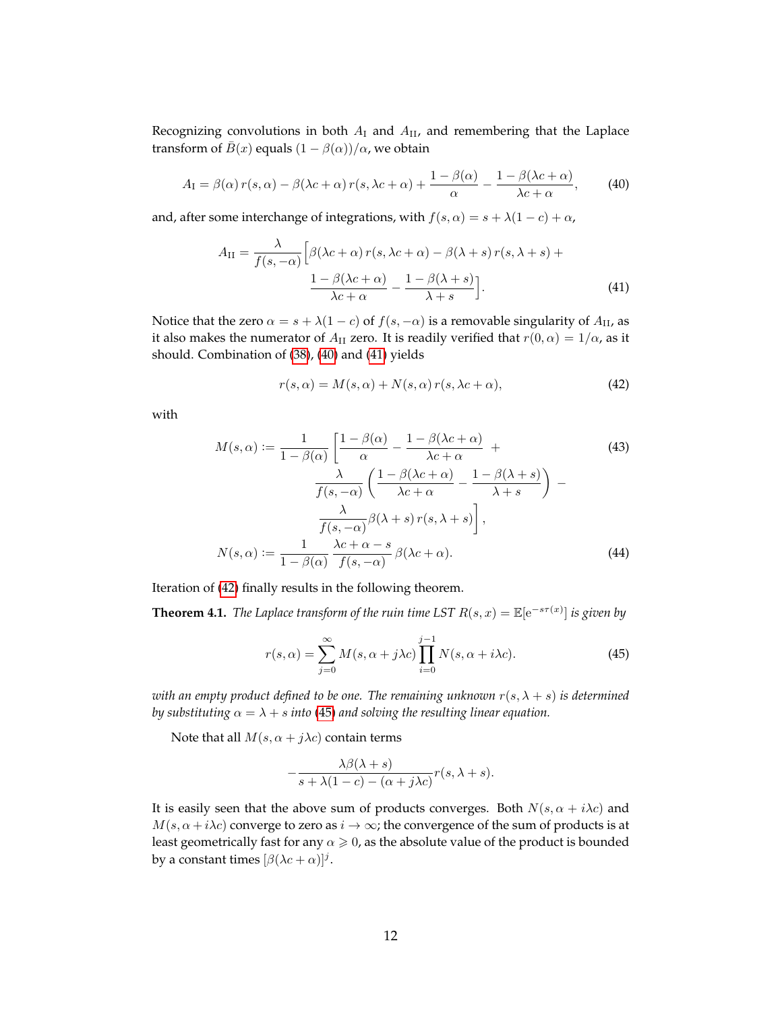Recognizing convolutions in both  $A_I$  and  $A_{II}$ , and remembering that the Laplace transform of  $\bar{B}(x)$  equals  $(1 - \beta(\alpha))/\alpha$ , we obtain

$$
A_{\rm I} = \beta(\alpha) \, r(s, \alpha) - \beta(\lambda c + \alpha) \, r(s, \lambda c + \alpha) + \frac{1 - \beta(\alpha)}{\alpha} - \frac{1 - \beta(\lambda c + \alpha)}{\lambda c + \alpha},\tag{40}
$$

and, after some interchange of integrations, with  $f(s, \alpha) = s + \lambda(1 - c) + \alpha$ ,

<span id="page-12-1"></span>
$$
A_{\rm II} = \frac{\lambda}{f(s, -\alpha)} \left[ \beta(\lambda c + \alpha) r(s, \lambda c + \alpha) - \beta(\lambda + s) r(s, \lambda + s) + \frac{1 - \beta(\lambda c + \alpha)}{\lambda c + \alpha} - \frac{1 - \beta(\lambda + s)}{\lambda + s} \right].
$$
\n(41)

Notice that the zero  $\alpha = s + \lambda(1 - c)$  of  $f(s, -\alpha)$  is a removable singularity of  $A_{II}$ , as it also makes the numerator of  $A_{II}$  zero. It is readily verified that  $r(0, \alpha) = 1/\alpha$ , as it should. Combination of [\(38\)](#page-11-1), [\(40\)](#page-12-1) and [\(41\)](#page-12-2) yields

<span id="page-12-3"></span><span id="page-12-2"></span>
$$
r(s,\alpha) = M(s,\alpha) + N(s,\alpha) r(s,\lambda c + \alpha),
$$
\n(42)

with

$$
M(s,\alpha) := \frac{1}{1-\beta(\alpha)} \left[ \frac{1-\beta(\alpha)}{\alpha} - \frac{1-\beta(\lambda c + \alpha)}{\lambda c + \alpha} + \frac{\lambda}{f(s, -\alpha)} \left( \frac{1-\beta(\lambda c + \alpha)}{\lambda c + \alpha} - \frac{1-\beta(\lambda + s)}{\lambda + s} \right) - \frac{\lambda}{f(s, -\alpha)} \beta(\lambda + s) r(s, \lambda + s) \right],
$$
\n
$$
N(s,\alpha) := \frac{1}{1-\beta(\alpha)} \frac{\lambda c + \alpha - s}{f(s, -\alpha)} \beta(\lambda c + \alpha).
$$
\n(44)

Iteration of [\(42\)](#page-12-3) finally results in the following theorem.

<span id="page-12-0"></span>**Theorem 4.1.** *The Laplace transform of the ruin time LST*  $R(s, x) = \mathbb{E}[e^{-s\tau(x)}]$  *is given by* 

<span id="page-12-4"></span>
$$
r(s,\alpha) = \sum_{j=0}^{\infty} M(s,\alpha+j\lambda c) \prod_{i=0}^{j-1} N(s,\alpha+i\lambda c).
$$
 (45)

*with an empty product defined to be one. The remaining unknown*  $r(s, \lambda + s)$  *is determined by substituting*  $\alpha = \lambda + s$  *into* [\(45\)](#page-12-4) *and solving the resulting linear equation.* 

Note that all  $M(s, \alpha + j\lambda c)$  contain terms

$$
-\frac{\lambda\beta(\lambda+s)}{s+\lambda(1-c)-(\alpha+j\lambda c)}r(s,\lambda+s).
$$

It is easily seen that the above sum of products converges. Both  $N(s, \alpha + i\lambda c)$  and  $M(s, \alpha + i\lambda c)$  converge to zero as  $i \to \infty$ ; the convergence of the sum of products is at least geometrically fast for any  $\alpha \geq 0$ , as the absolute value of the product is bounded by a constant times  $[\beta(\lambda c + \alpha)]^j$ .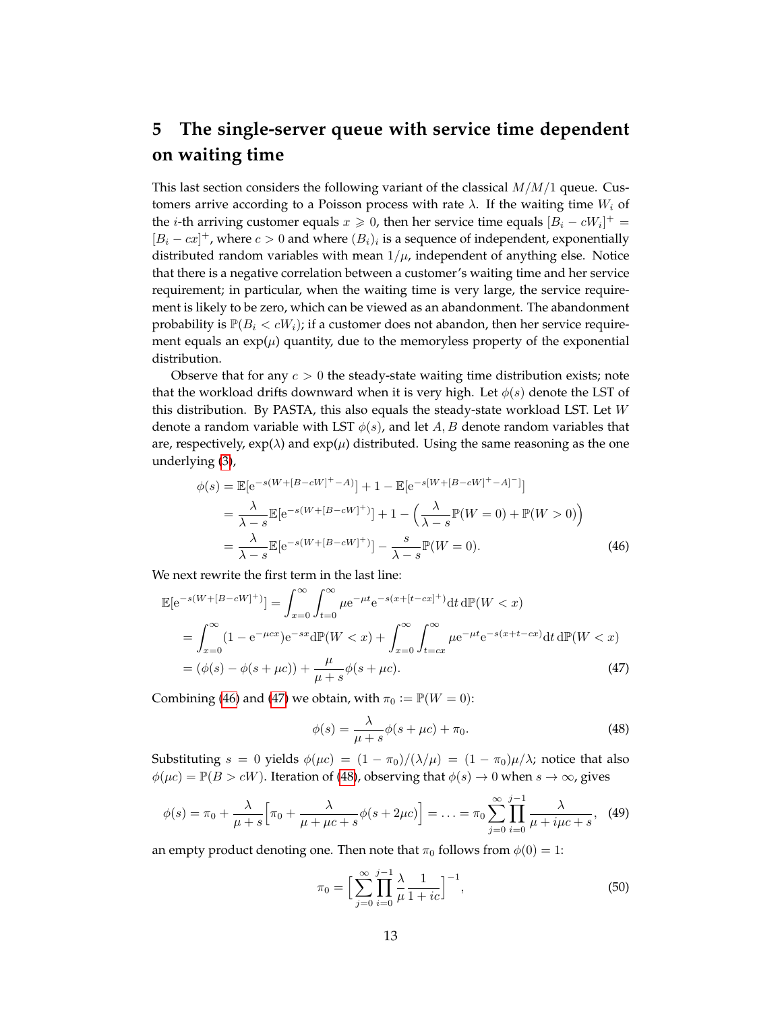# <span id="page-13-0"></span>**5 The single-server queue with service time dependent on waiting time**

This last section considers the following variant of the classical  $M/M/1$  queue. Customers arrive according to a Poisson process with rate  $\lambda$ . If the waiting time  $W_i$  of the *i*-th arriving customer equals  $x \ge 0$ , then her service time equals  $[B_i - cW_i]^+$  $[B_i - cx]^+$ , where  $c > 0$  and where  $(B_i)_i$  is a sequence of independent, exponentially distributed random variables with mean  $1/\mu$ , independent of anything else. Notice that there is a negative correlation between a customer's waiting time and her service requirement; in particular, when the waiting time is very large, the service requirement is likely to be zero, which can be viewed as an abandonment. The abandonment probability is  $\mathbb{P}(B_i < cW_i)$ ; if a customer does not abandon, then her service requirement equals an  $\exp(\mu)$  quantity, due to the memoryless property of the exponential distribution.

Observe that for any  $c > 0$  the steady-state waiting time distribution exists; note that the workload drifts downward when it is very high. Let  $\phi(s)$  denote the LST of this distribution. By PASTA, this also equals the steady-state workload LST. Let  $W$ denote a random variable with LST  $\phi(s)$ , and let A, B denote random variables that are, respectively,  $\exp(\lambda)$  and  $\exp(\mu)$  distributed. Using the same reasoning as the one underlying [\(3\)](#page-4-2),

$$
\phi(s) = \mathbb{E}[e^{-s(W+[B-cW]^+-A)}] + 1 - \mathbb{E}[e^{-s[W+[B-cW]^+-A]^-]}]
$$
  
= 
$$
\frac{\lambda}{\lambda - s} \mathbb{E}[e^{-s(W+[B-cW]^+)}] + 1 - \left(\frac{\lambda}{\lambda - s} \mathbb{P}(W=0) + \mathbb{P}(W>0)\right)
$$
  
= 
$$
\frac{\lambda}{\lambda - s} \mathbb{E}[e^{-s(W+[B-cW]^+)}] - \frac{s}{\lambda - s} \mathbb{P}(W=0).
$$
 (46)

We next rewrite the first term in the last line:

$$
\mathbb{E}[e^{-s(W+[B-cW]^+)}] = \int_{x=0}^{\infty} \int_{t=0}^{\infty} \mu e^{-\mu t} e^{-s(x+[t-cx]^+)} dt d\mathbb{P}(W < x)
$$
  
\n
$$
= \int_{x=0}^{\infty} (1 - e^{-\mu cx}) e^{-sx} d\mathbb{P}(W < x) + \int_{x=0}^{\infty} \int_{t=cx}^{\infty} \mu e^{-\mu t} e^{-s(x+t-cx)} dt d\mathbb{P}(W < x)
$$
  
\n
$$
= (\phi(s) - \phi(s + \mu c)) + \frac{\mu}{\mu + s} \phi(s + \mu c).
$$
\n(47)

Combining [\(46\)](#page-13-1) and [\(47\)](#page-13-2) we obtain, with  $\pi_0 := \mathbb{P}(W = 0)$ :

<span id="page-13-3"></span><span id="page-13-2"></span><span id="page-13-1"></span>
$$
\phi(s) = \frac{\lambda}{\mu + s} \phi(s + \mu c) + \pi_0.
$$
\n(48)

Substituting  $s = 0$  yields  $\phi(\mu c) = (1 - \pi_0)/(\lambda/\mu) = (1 - \pi_0)\mu/\lambda$ ; notice that also  $\phi(\mu c) = \mathbb{P}(B > cW)$ . Iteration of [\(48\)](#page-13-3), observing that  $\phi(s) \to 0$  when  $s \to \infty$ , gives

$$
\phi(s) = \pi_0 + \frac{\lambda}{\mu + s} \Big[ \pi_0 + \frac{\lambda}{\mu + \mu c + s} \phi(s + 2\mu c) \Big] = \ldots = \pi_0 \sum_{j=0}^{\infty} \prod_{i=0}^{j-1} \frac{\lambda}{\mu + i\mu c + s}, \tag{49}
$$

an empty product denoting one. Then note that  $\pi_0$  follows from  $\phi(0) = 1$ :

$$
\pi_0 = \Big[ \sum_{j=0}^{\infty} \prod_{i=0}^{j-1} \frac{\lambda}{\mu} \frac{1}{1+ic} \Big]^{-1},\tag{50}
$$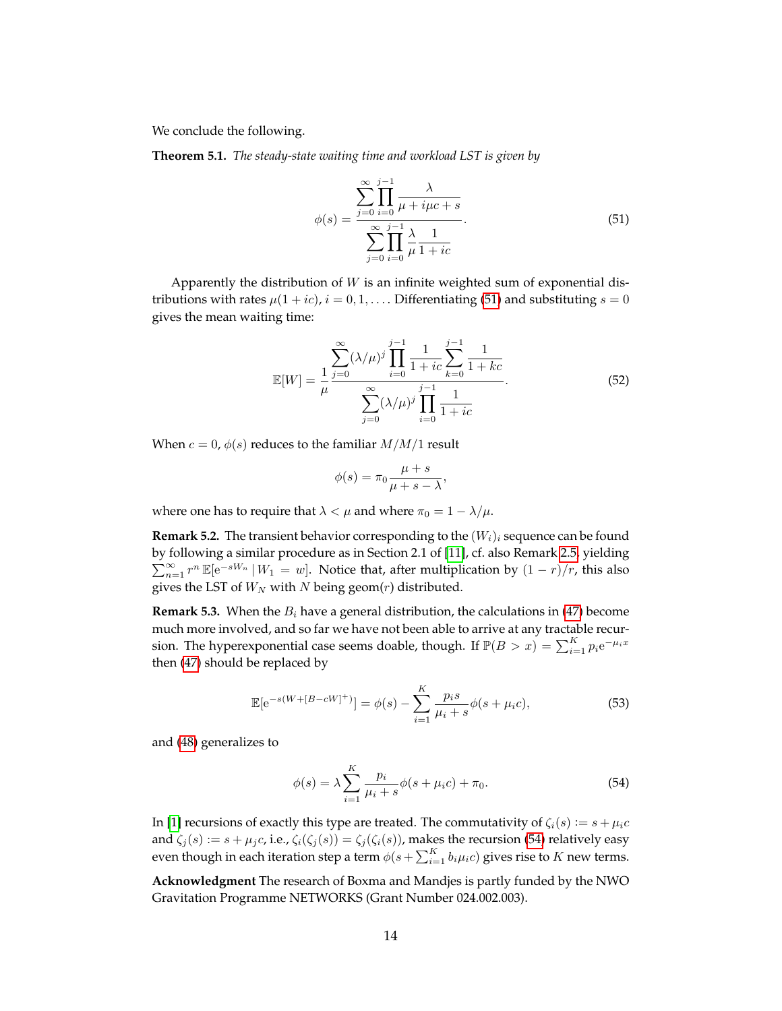We conclude the following.

<span id="page-14-0"></span>**Theorem 5.1.** *The steady-state waiting time and workload LST is given by*

<span id="page-14-1"></span>
$$
\phi(s) = \frac{\sum_{j=0}^{\infty} \prod_{i=0}^{j-1} \frac{\lambda}{\mu + i\mu c + s}}{\sum_{j=0}^{\infty} \prod_{i=0}^{j-1} \frac{\lambda}{\mu + i c}}.
$$
\n(51)

Apparently the distribution of  $W$  is an infinite weighted sum of exponential distributions with rates  $\mu(1+ic)$ ,  $i = 0, 1, \dots$  Differentiating [\(51\)](#page-14-1) and substituting  $s = 0$ gives the mean waiting time:

$$
\mathbb{E}[W] = \frac{1}{\mu} \frac{\sum_{j=0}^{\infty} (\lambda/\mu)^j \prod_{i=0}^{j-1} \frac{1}{1+ic} \sum_{k=0}^{j-1} \frac{1}{1+kc}}{\sum_{j=0}^{\infty} (\lambda/\mu)^j \prod_{i=0}^{j-1} \frac{1}{1+ic}}.
$$
(52)

When  $c = 0$ ,  $\phi(s)$  reduces to the familiar  $M/M/1$  result

$$
\phi(s) = \pi_0 \frac{\mu + s}{\mu + s - \lambda},
$$

where one has to require that  $\lambda < \mu$  and where  $\pi_0 = 1 - \lambda/\mu$ .

**Remark 5.2.** The transient behavior corresponding to the  $(W_i)_i$  sequence can be found by following a similar procedure as in Section 2.1 of [\[11\]](#page-15-2), cf. also Remark [2.5,](#page-5-4) yielding  $\sum_{n=1}^{\infty} r^n \mathbb{E}[e^{-sW_n} | W_1 = w]$ . Notice that, after multiplication by  $(1 - r)/r$ , this also gives the LST of  $W_N$  with N being geom(r) distributed.

**Remark 5.3.** When the  $B_i$  have a general distribution, the calculations in [\(47\)](#page-13-2) become much more involved, and so far we have not been able to arrive at any tractable recursion. The hyperexponential case seems doable, though. If  $\mathbb{P}(B > x) = \sum_{i=1}^{K} p_i e^{-\mu_i x}$ then [\(47\)](#page-13-2) should be replaced by

$$
\mathbb{E}[\mathrm{e}^{-s(W+[B-cW]^+)}] = \phi(s) - \sum_{i=1}^{K} \frac{p_i s}{\mu_i + s} \phi(s + \mu_i c), \tag{53}
$$

and [\(48\)](#page-13-3) generalizes to

<span id="page-14-2"></span>
$$
\phi(s) = \lambda \sum_{i=1}^{K} \frac{p_i}{\mu_i + s} \phi(s + \mu_i c) + \pi_0.
$$
\n(54)

In [\[1\]](#page-15-16) recursions of exactly this type are treated. The commutativity of  $\zeta_i(s) := s + \mu_i c$ and  $\zeta_j(s) := s + \mu_j c$ , i.e.,  $\zeta_i(\zeta_j(s)) = \zeta_j(\zeta_i(s))$ , makes the recursion [\(54\)](#page-14-2) relatively easy even though in each iteration step a term  $\phi(s+\sum_{i=1}^K b_i\mu_ic)$  gives rise to  $K$  new terms.

**Acknowledgment** The research of Boxma and Mandjes is partly funded by the NWO Gravitation Programme NETWORKS (Grant Number 024.002.003).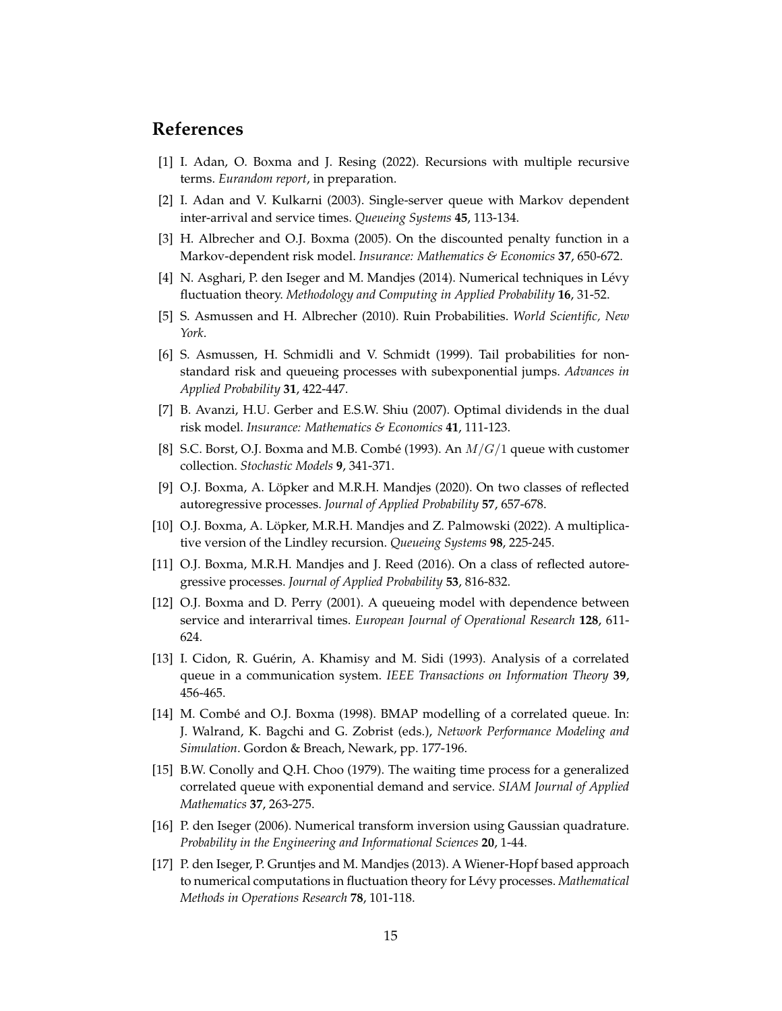### **References**

- <span id="page-15-16"></span>[1] I. Adan, O. Boxma and J. Resing (2022). Recursions with multiple recursive terms. *Eurandom report*, in preparation.
- <span id="page-15-8"></span>[2] I. Adan and V. Kulkarni (2003). Single-server queue with Markov dependent inter-arrival and service times. *Queueing Systems* **45**, 113-134.
- <span id="page-15-7"></span>[3] H. Albrecher and O.J. Boxma (2005). On the discounted penalty function in a Markov-dependent risk model. *Insurance: Mathematics & Economics* **37**, 650-672.
- <span id="page-15-14"></span>[4] N. Asghari, P. den Iseger and M. Mandjes (2014). Numerical techniques in Lévy fluctuation theory. *Methodology and Computing in Applied Probability* **16**, 31-52.
- <span id="page-15-0"></span>[5] S. Asmussen and H. Albrecher (2010). Ruin Probabilities. *World Scientific, New York*.
- <span id="page-15-10"></span>[6] S. Asmussen, H. Schmidli and V. Schmidt (1999). Tail probabilities for nonstandard risk and queueing processes with subexponential jumps. *Advances in Applied Probability* **31**, 422-447.
- <span id="page-15-12"></span>[7] B. Avanzi, H.U. Gerber and E.S.W. Shiu (2007). Optimal dividends in the dual risk model. *Insurance: Mathematics & Economics* **41**, 111-123.
- <span id="page-15-4"></span>[8] S.C. Borst, O.J. Boxma and M.B. Combé (1993). An  $M/G/1$  queue with customer collection. *Stochastic Models* **9**, 341-371.
- <span id="page-15-1"></span>[9] O.J. Boxma, A. Löpker and M.R.H. Mandjes (2020). On two classes of reflected autoregressive processes. *Journal of Applied Probability* **57**, 657-678.
- <span id="page-15-11"></span>[10] O.J. Boxma, A. Löpker, M.R.H. Mandjes and Z. Palmowski (2022). A multiplicative version of the Lindley recursion. *Queueing Systems* **98**, 225-245.
- <span id="page-15-2"></span>[11] O.J. Boxma, M.R.H. Mandjes and J. Reed (2016). On a class of reflected autoregressive processes. *Journal of Applied Probability* **53**, 816-832.
- <span id="page-15-9"></span>[12] O.J. Boxma and D. Perry (2001). A queueing model with dependence between service and interarrival times. *European Journal of Operational Research* **128**, 611- 624.
- <span id="page-15-5"></span>[13] I. Cidon, R. Guérin, A. Khamisy and M. Sidi (1993). Analysis of a correlated queue in a communication system. *IEEE Transactions on Information Theory* **39**, 456-465.
- <span id="page-15-6"></span>[14] M. Combé and O.J. Boxma (1998). BMAP modelling of a correlated queue. In: J. Walrand, K. Bagchi and G. Zobrist (eds.), *Network Performance Modeling and Simulation*. Gordon & Breach, Newark, pp. 177-196.
- <span id="page-15-3"></span>[15] B.W. Conolly and Q.H. Choo (1979). The waiting time process for a generalized correlated queue with exponential demand and service. *SIAM Journal of Applied Mathematics* **37**, 263-275.
- <span id="page-15-13"></span>[16] P. den Iseger (2006). Numerical transform inversion using Gaussian quadrature. *Probability in the Engineering and Informational Sciences* **20**, 1-44.
- <span id="page-15-15"></span>[17] P. den Iseger, P. Gruntjes and M. Mandjes (2013). A Wiener-Hopf based approach to numerical computations in fluctuation theory for Lévy processes. *Mathematical Methods in Operations Research* **78**, 101-118.